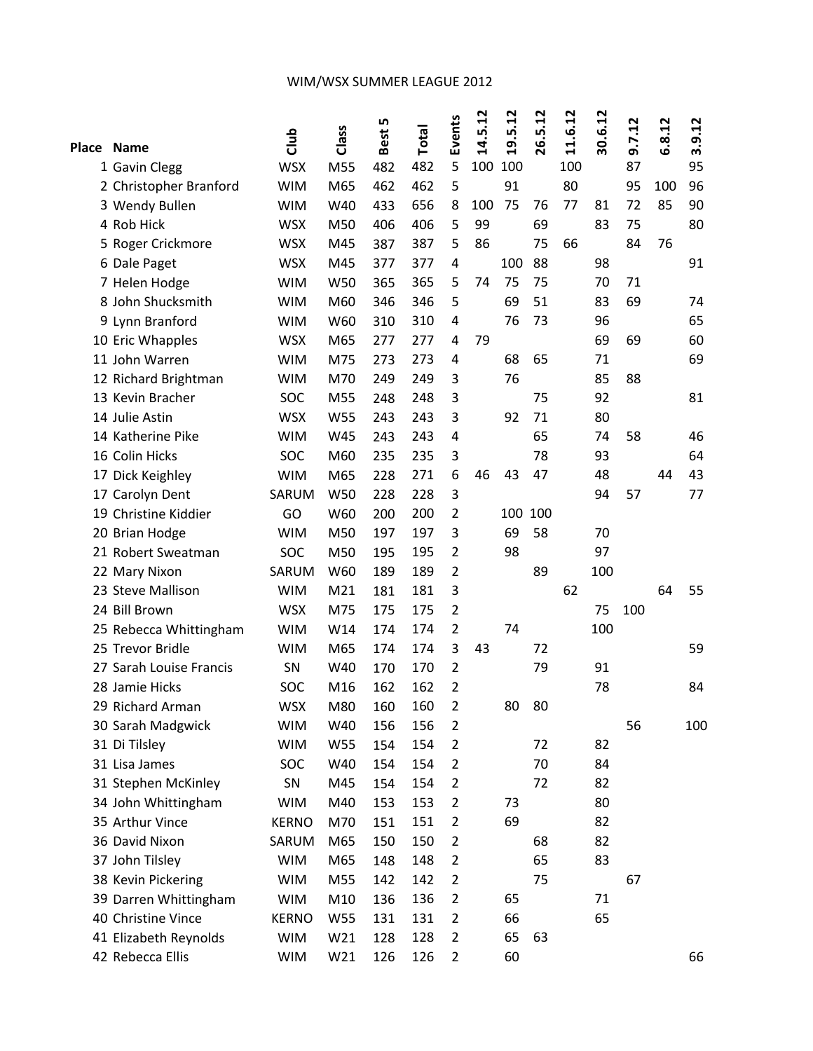## WIM/WSX SUMMER LEAGUE 2012

| Place Name |                         | dub          | Class      | LO.<br>Best | Total | Events         | 14.5.12 | 19.5.12 | 26.5.12 | 11.6.12 | 30.6.12 | 9.7.12 | 6.8.12 | 3.9.12 |
|------------|-------------------------|--------------|------------|-------------|-------|----------------|---------|---------|---------|---------|---------|--------|--------|--------|
|            | 1 Gavin Clegg           | <b>WSX</b>   | M55        | 482         | 482   | 5              | 100     | 100     |         | 100     |         | 87     |        | 95     |
|            | 2 Christopher Branford  | <b>WIM</b>   | M65        | 462         | 462   | 5              |         | 91      |         | 80      |         | 95     | 100    | 96     |
|            | 3 Wendy Bullen          | <b>WIM</b>   | W40        | 433         | 656   | 8              | 100     | 75      | 76      | 77      | 81      | 72     | 85     | 90     |
|            | 4 Rob Hick              | <b>WSX</b>   | M50        | 406         | 406   | 5              | 99      |         | 69      |         | 83      | 75     |        | 80     |
|            | 5 Roger Crickmore       | <b>WSX</b>   | M45        | 387         | 387   | 5              | 86      |         | 75      | 66      |         | 84     | 76     |        |
|            | 6 Dale Paget            | <b>WSX</b>   | M45        | 377         | 377   | $\overline{4}$ |         | 100     | 88      |         | 98      |        |        | 91     |
|            | 7 Helen Hodge           | <b>WIM</b>   | W50        | 365         | 365   | 5              | 74      | 75      | 75      |         | 70      | 71     |        |        |
|            | 8 John Shucksmith       | <b>WIM</b>   | M60        | 346         | 346   | 5              |         | 69      | 51      |         | 83      | 69     |        | 74     |
|            | 9 Lynn Branford         | <b>WIM</b>   | W60        | 310         | 310   | 4              |         | 76      | 73      |         | 96      |        |        | 65     |
|            | 10 Eric Whapples        | <b>WSX</b>   | M65        | 277         | 277   | 4              | 79      |         |         |         | 69      | 69     |        | 60     |
|            | 11 John Warren          | <b>WIM</b>   | M75        | 273         | 273   | 4              |         | 68      | 65      |         | 71      |        |        | 69     |
|            | 12 Richard Brightman    | <b>WIM</b>   | M70        | 249         | 249   | 3              |         | 76      |         |         | 85      | 88     |        |        |
|            | 13 Kevin Bracher        | <b>SOC</b>   | M55        | 248         | 248   | 3              |         |         | 75      |         | 92      |        |        | 81     |
|            | 14 Julie Astin          | <b>WSX</b>   | <b>W55</b> | 243         | 243   | 3              |         | 92      | 71      |         | 80      |        |        |        |
|            | 14 Katherine Pike       | <b>WIM</b>   | W45        | 243         | 243   | $\overline{4}$ |         |         | 65      |         | 74      | 58     |        | 46     |
|            | 16 Colin Hicks          | SOC          | M60        | 235         | 235   | 3              |         |         | 78      |         | 93      |        |        | 64     |
|            | 17 Dick Keighley        | <b>WIM</b>   | M65        | 228         | 271   | 6              | 46      | 43      | 47      |         | 48      |        | 44     | 43     |
|            | 17 Carolyn Dent         | SARUM        | W50        | 228         | 228   | 3              |         |         |         |         | 94      | 57     |        | 77     |
|            | 19 Christine Kiddier    | GO           | W60        | 200         | 200   | $\overline{2}$ |         | 100     | 100     |         |         |        |        |        |
|            | 20 Brian Hodge          | <b>WIM</b>   | M50        | 197         | 197   | 3              |         | 69      | 58      |         | 70      |        |        |        |
|            | 21 Robert Sweatman      | SOC          | M50        | 195         | 195   | $\overline{2}$ |         | 98      |         |         | 97      |        |        |        |
|            | 22 Mary Nixon           | SARUM        | W60        | 189         | 189   | $\overline{2}$ |         |         | 89      |         | 100     |        |        |        |
|            | 23 Steve Mallison       | <b>WIM</b>   | M21        | 181         | 181   | 3              |         |         |         | 62      |         |        | 64     | 55     |
|            | 24 Bill Brown           | <b>WSX</b>   | M75        | 175         | 175   | $\overline{2}$ |         |         |         |         | 75      | 100    |        |        |
|            | 25 Rebecca Whittingham  | <b>WIM</b>   | W14        | 174         | 174   | 2              |         | 74      |         |         | 100     |        |        |        |
|            | 25 Trevor Bridle        | <b>WIM</b>   | M65        | 174         | 174   | 3              | 43      |         | 72      |         |         |        |        | 59     |
|            | 27 Sarah Louise Francis | SN           | W40        | 170         | 170   | $\overline{2}$ |         |         | 79      |         | 91      |        |        |        |
|            | 28 Jamie Hicks          | SOC          | M16        | 162         | 162   | $\overline{2}$ |         |         |         |         | 78      |        |        | 84     |
|            | 29 Richard Arman        | <b>WSX</b>   | M80        | 160         | 160   | 2              |         | 80      | 80      |         |         |        |        |        |
|            | 30 Sarah Madgwick       | <b>WIM</b>   | W40        | 156         | 156   | 2              |         |         |         |         |         | 56     |        | 100    |
|            | 31 Di Tilsley           | <b>WIM</b>   | W55        | 154         | 154   | 2              |         |         | 72      |         | 82      |        |        |        |
|            | 31 Lisa James           | <b>SOC</b>   | W40        | 154         | 154   | $\overline{2}$ |         |         | 70      |         | 84      |        |        |        |
|            | 31 Stephen McKinley     | SN           | M45        | 154         | 154   | $\overline{2}$ |         |         | 72      |         | 82      |        |        |        |
|            | 34 John Whittingham     | <b>WIM</b>   | M40        | 153         | 153   | $\overline{2}$ |         | 73      |         |         | 80      |        |        |        |
|            | 35 Arthur Vince         | <b>KERNO</b> | M70        | 151         | 151   | $\overline{2}$ |         | 69      |         |         | 82      |        |        |        |
|            | 36 David Nixon          | SARUM        | M65        | 150         | 150   | $\overline{2}$ |         |         | 68      |         | 82      |        |        |        |
|            | 37 John Tilsley         | <b>WIM</b>   | M65        | 148         | 148   | $\overline{2}$ |         |         | 65      |         | 83      |        |        |        |
|            | 38 Kevin Pickering      | <b>WIM</b>   | M55        | 142         | 142   | 2              |         |         | 75      |         |         | 67     |        |        |
|            | 39 Darren Whittingham   | <b>WIM</b>   | M10        | 136         | 136   | $\overline{2}$ |         | 65      |         |         | 71      |        |        |        |
|            | 40 Christine Vince      | <b>KERNO</b> | W55        | 131         | 131   | $\overline{2}$ |         | 66      |         |         | 65      |        |        |        |
|            | 41 Elizabeth Reynolds   | <b>WIM</b>   | W21        | 128         | 128   | 2              |         | 65      | 63      |         |         |        |        |        |
|            | 42 Rebecca Ellis        | <b>WIM</b>   | W21        | 126         | 126   | $\overline{2}$ |         | 60      |         |         |         |        |        | 66     |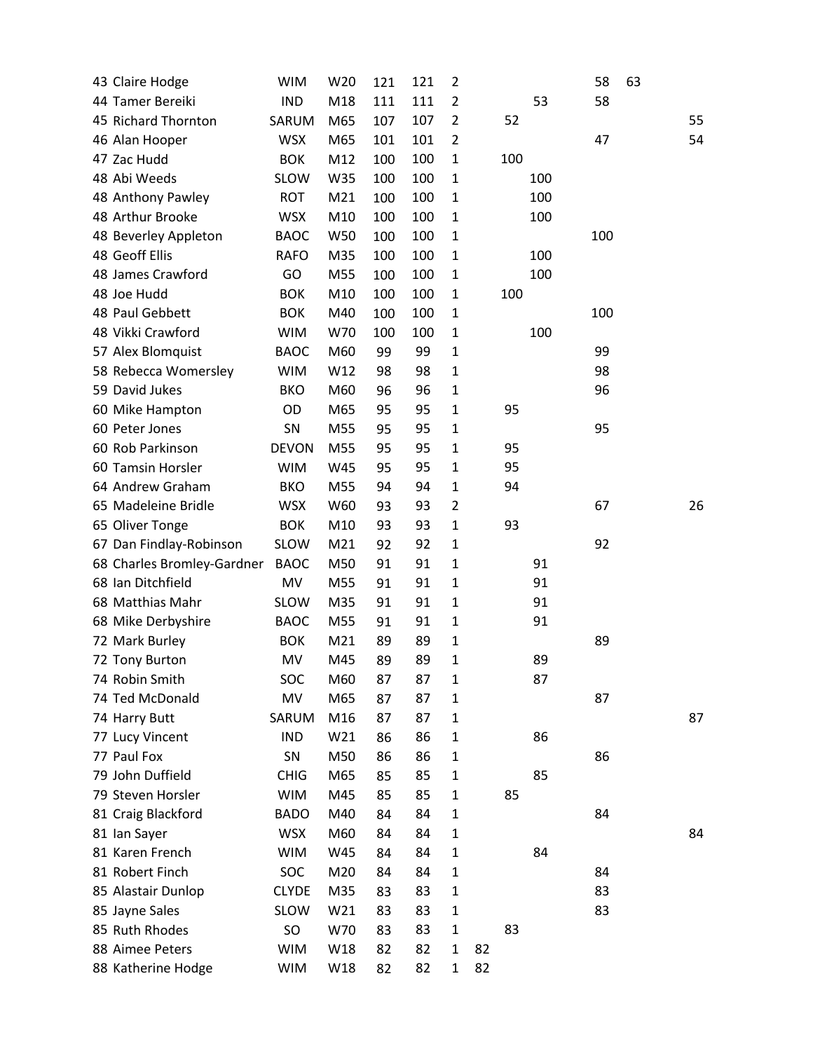| 43 Claire Hodge            | <b>WIM</b>   | W20 | 121 | 121 | $\overline{2}$ |    |     |     | 58  | 63 |    |
|----------------------------|--------------|-----|-----|-----|----------------|----|-----|-----|-----|----|----|
| 44 Tamer Bereiki           | <b>IND</b>   | M18 | 111 | 111 | $\overline{2}$ |    |     | 53  | 58  |    |    |
| 45 Richard Thornton        | SARUM        | M65 | 107 | 107 | $\overline{2}$ |    | 52  |     |     |    | 55 |
| 46 Alan Hooper             | <b>WSX</b>   | M65 | 101 | 101 | $\overline{2}$ |    |     |     | 47  |    | 54 |
| 47 Zac Hudd                | <b>BOK</b>   | M12 | 100 | 100 | $\mathbf{1}$   |    | 100 |     |     |    |    |
| 48 Abi Weeds               | <b>SLOW</b>  | W35 | 100 | 100 | $\mathbf{1}$   |    |     | 100 |     |    |    |
| 48 Anthony Pawley          | ROT          | M21 | 100 | 100 | $\mathbf{1}$   |    |     | 100 |     |    |    |
| 48 Arthur Brooke           | <b>WSX</b>   | M10 | 100 | 100 | $\mathbf 1$    |    |     | 100 |     |    |    |
| 48 Beverley Appleton       | <b>BAOC</b>  | W50 | 100 | 100 | $\mathbf{1}$   |    |     |     | 100 |    |    |
| 48 Geoff Ellis             | <b>RAFO</b>  | M35 | 100 | 100 | $\mathbf{1}$   |    |     | 100 |     |    |    |
| 48 James Crawford          | GO           | M55 | 100 | 100 | $\mathbf{1}$   |    |     | 100 |     |    |    |
| 48 Joe Hudd                | <b>BOK</b>   | M10 | 100 | 100 | $\mathbf{1}$   |    | 100 |     |     |    |    |
| 48 Paul Gebbett            | <b>BOK</b>   | M40 | 100 | 100 | 1              |    |     |     | 100 |    |    |
| 48 Vikki Crawford          | <b>WIM</b>   | W70 | 100 | 100 | $\mathbf 1$    |    |     | 100 |     |    |    |
| 57 Alex Blomquist          | <b>BAOC</b>  | M60 | 99  | 99  | $\mathbf{1}$   |    |     |     | 99  |    |    |
| 58 Rebecca Womersley       | <b>WIM</b>   | W12 | 98  | 98  | $\mathbf{1}$   |    |     |     | 98  |    |    |
| 59 David Jukes             | <b>BKO</b>   | M60 | 96  | 96  | $\mathbf{1}$   |    |     |     | 96  |    |    |
| 60 Mike Hampton            | OD           | M65 | 95  | 95  | $\mathbf{1}$   |    | 95  |     |     |    |    |
| 60 Peter Jones             | SN           | M55 | 95  | 95  | 1              |    |     |     | 95  |    |    |
| 60 Rob Parkinson           | <b>DEVON</b> | M55 | 95  | 95  | $\mathbf 1$    |    | 95  |     |     |    |    |
| 60 Tamsin Horsler          | <b>WIM</b>   | W45 | 95  | 95  | $\mathbf{1}$   |    | 95  |     |     |    |    |
| 64 Andrew Graham           | <b>BKO</b>   | M55 | 94  | 94  | $\mathbf 1$    |    | 94  |     |     |    |    |
| 65 Madeleine Bridle        | <b>WSX</b>   | W60 | 93  | 93  | $\overline{2}$ |    |     |     | 67  |    | 26 |
| 65 Oliver Tonge            | <b>BOK</b>   | M10 | 93  | 93  | $\mathbf{1}$   |    | 93  |     |     |    |    |
| 67 Dan Findlay-Robinson    | <b>SLOW</b>  | M21 | 92  | 92  | 1              |    |     |     | 92  |    |    |
| 68 Charles Bromley-Gardner | <b>BAOC</b>  | M50 | 91  | 91  | $\mathbf{1}$   |    |     | 91  |     |    |    |
| 68 Ian Ditchfield          | MV           | M55 | 91  | 91  | $\mathbf{1}$   |    |     | 91  |     |    |    |
| 68 Matthias Mahr           | <b>SLOW</b>  | M35 | 91  | 91  | 1              |    |     | 91  |     |    |    |
| 68 Mike Derbyshire         | <b>BAOC</b>  | M55 | 91  | 91  | $\mathbf{1}$   |    |     | 91  |     |    |    |
| 72 Mark Burley             | <b>BOK</b>   | M21 | 89  | 89  | 1              |    |     |     | 89  |    |    |
| 72 Tony Burton             | MV           | M45 | 89  | 89  | 1              |    |     | 89  |     |    |    |
| 74 Robin Smith             | SOC          | M60 | 87  | 87  | 1              |    |     | 87  |     |    |    |
| 74 Ted McDonald            | MV           | M65 | 87  | 87  | 1              |    |     |     | 87  |    |    |
| 74 Harry Butt              | SARUM        | M16 | 87  | 87  | 1              |    |     |     |     |    | 87 |
| 77 Lucy Vincent            | <b>IND</b>   | W21 | 86  | 86  | 1              |    |     | 86  |     |    |    |
| 77 Paul Fox                | SN           | M50 | 86  | 86  | 1              |    |     |     | 86  |    |    |
| 79 John Duffield           | <b>CHIG</b>  | M65 | 85  | 85  | 1              |    |     | 85  |     |    |    |
| 79 Steven Horsler          | <b>WIM</b>   | M45 | 85  | 85  | 1              |    | 85  |     |     |    |    |
| 81 Craig Blackford         | <b>BADO</b>  | M40 | 84  | 84  | $\mathbf 1$    |    |     |     | 84  |    |    |
| 81 Ian Sayer               | <b>WSX</b>   | M60 | 84  | 84  | $\mathbf 1$    |    |     |     |     |    | 84 |
| 81 Karen French            | <b>WIM</b>   | W45 | 84  | 84  | $\mathbf{1}$   |    |     | 84  |     |    |    |
| 81 Robert Finch            | SOC          | M20 | 84  | 84  | $\mathbf 1$    |    |     |     | 84  |    |    |
| 85 Alastair Dunlop         | <b>CLYDE</b> | M35 | 83  | 83  | $\mathbf{1}$   |    |     |     | 83  |    |    |
| 85 Jayne Sales             | <b>SLOW</b>  | W21 | 83  | 83  | 1              |    |     |     | 83  |    |    |
| 85 Ruth Rhodes             | SO           | W70 | 83  | 83  | $\mathbf 1$    |    | 83  |     |     |    |    |
| 88 Aimee Peters            | <b>WIM</b>   | W18 | 82  | 82  | $\mathbf{1}$   | 82 |     |     |     |    |    |
| 88 Katherine Hodge         | <b>WIM</b>   | W18 | 82  | 82  | $\mathbf{1}$   | 82 |     |     |     |    |    |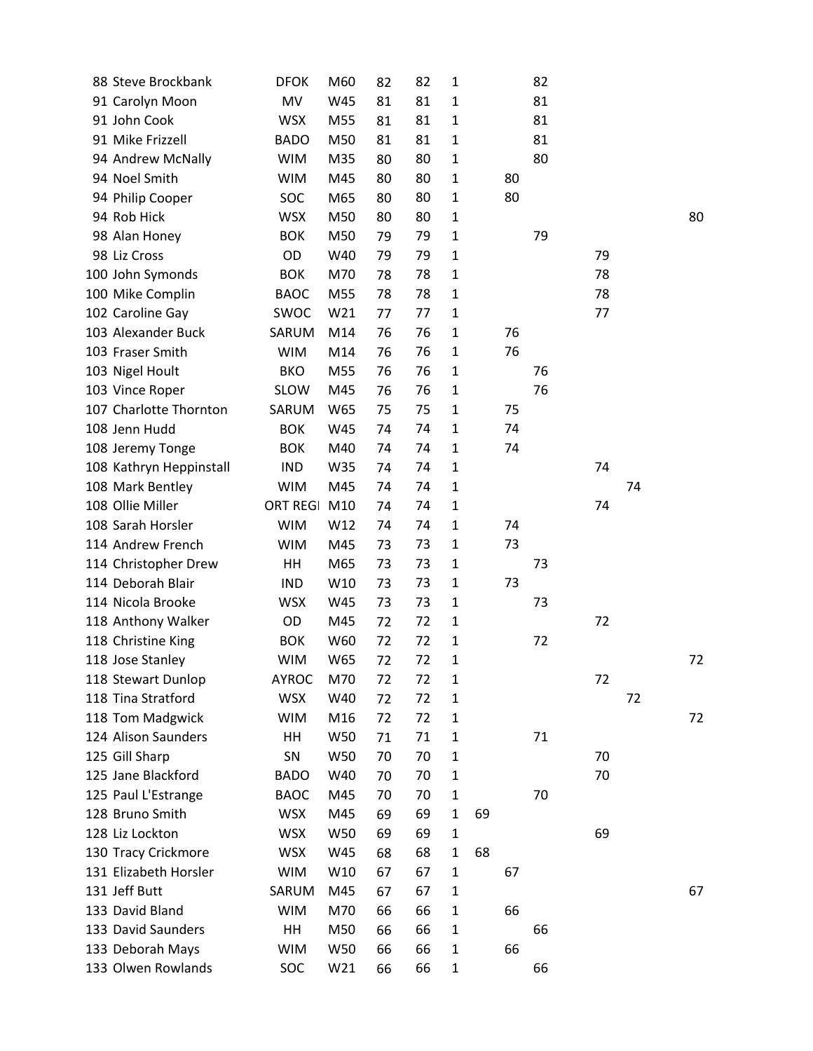| 88 Steve Brockbank      | <b>DFOK</b>     | M60 | 82 | 82 | 1            |    |    | 82 |    |    |    |
|-------------------------|-----------------|-----|----|----|--------------|----|----|----|----|----|----|
| 91 Carolyn Moon         | MV              | W45 | 81 | 81 | 1            |    |    | 81 |    |    |    |
| 91 John Cook            | <b>WSX</b>      | M55 | 81 | 81 | 1            |    |    | 81 |    |    |    |
| 91 Mike Frizzell        | <b>BADO</b>     | M50 | 81 | 81 | 1            |    |    | 81 |    |    |    |
| 94 Andrew McNally       | <b>WIM</b>      | M35 | 80 | 80 | 1            |    |    | 80 |    |    |    |
| 94 Noel Smith           | <b>WIM</b>      | M45 | 80 | 80 | $\mathbf{1}$ |    | 80 |    |    |    |    |
| 94 Philip Cooper        | SOC             | M65 | 80 | 80 | 1            |    | 80 |    |    |    |    |
| 94 Rob Hick             | <b>WSX</b>      | M50 | 80 | 80 | 1            |    |    |    |    |    | 80 |
| 98 Alan Honey           | <b>BOK</b>      | M50 | 79 | 79 | $\mathbf 1$  |    |    | 79 |    |    |    |
| 98 Liz Cross            | OD              | W40 | 79 | 79 | 1            |    |    |    | 79 |    |    |
| 100 John Symonds        | <b>BOK</b>      | M70 | 78 | 78 | $\mathbf 1$  |    |    |    | 78 |    |    |
| 100 Mike Complin        | <b>BAOC</b>     | M55 | 78 | 78 | $\mathbf{1}$ |    |    |    | 78 |    |    |
| 102 Caroline Gay        | SWOC            | W21 | 77 | 77 | 1            |    |    |    | 77 |    |    |
| 103 Alexander Buck      | SARUM           | M14 | 76 | 76 | $\mathbf 1$  |    | 76 |    |    |    |    |
| 103 Fraser Smith        | <b>WIM</b>      | M14 | 76 | 76 | $\mathbf{1}$ |    | 76 |    |    |    |    |
| 103 Nigel Hoult         | <b>BKO</b>      | M55 | 76 | 76 | 1            |    |    | 76 |    |    |    |
| 103 Vince Roper         | <b>SLOW</b>     | M45 | 76 | 76 | $\mathbf{1}$ |    |    | 76 |    |    |    |
| 107 Charlotte Thornton  | SARUM           | W65 | 75 | 75 | $\mathbf{1}$ |    | 75 |    |    |    |    |
| 108 Jenn Hudd           | <b>BOK</b>      | W45 | 74 | 74 | 1            |    | 74 |    |    |    |    |
| 108 Jeremy Tonge        | <b>BOK</b>      | M40 | 74 | 74 | $\mathbf{1}$ |    | 74 |    |    |    |    |
| 108 Kathryn Heppinstall | <b>IND</b>      | W35 | 74 | 74 | $\mathbf{1}$ |    |    |    | 74 |    |    |
| 108 Mark Bentley        | <b>WIM</b>      | M45 | 74 | 74 | $\mathbf 1$  |    |    |    |    | 74 |    |
| 108 Ollie Miller        | <b>ORT REGI</b> | M10 | 74 | 74 | $\mathbf{1}$ |    |    |    | 74 |    |    |
| 108 Sarah Horsler       | <b>WIM</b>      | W12 | 74 | 74 | 1            |    | 74 |    |    |    |    |
| 114 Andrew French       | <b>WIM</b>      | M45 | 73 | 73 | $\mathbf{1}$ |    | 73 |    |    |    |    |
| 114 Christopher Drew    | HH              | M65 | 73 | 73 | $\mathbf{1}$ |    |    | 73 |    |    |    |
| 114 Deborah Blair       | <b>IND</b>      | W10 | 73 | 73 | $\mathbf{1}$ |    | 73 |    |    |    |    |
| 114 Nicola Brooke       | <b>WSX</b>      | W45 | 73 | 73 | $\mathbf{1}$ |    |    | 73 |    |    |    |
| 118 Anthony Walker      | OD              | M45 | 72 | 72 | $\mathbf{1}$ |    |    |    | 72 |    |    |
| 118 Christine King      | <b>BOK</b>      | W60 | 72 | 72 | 1            |    |    | 72 |    |    |    |
| 118 Jose Stanley        | <b>WIM</b>      | W65 | 72 | 72 | 1            |    |    |    |    |    | 72 |
| 118 Stewart Dunlop      | <b>AYROC</b>    | M70 | 72 | 72 | 1            |    |    |    | 72 |    |    |
| 118 Tina Stratford      | <b>WSX</b>      | W40 | 72 | 72 | 1            |    |    |    |    | 72 |    |
| 118 Tom Madgwick        | <b>WIM</b>      | M16 | 72 | 72 | 1            |    |    |    |    |    | 72 |
| 124 Alison Saunders     | HH              | W50 | 71 | 71 | 1            |    |    | 71 |    |    |    |
| 125 Gill Sharp          | SN              | W50 | 70 | 70 | $\mathbf{1}$ |    |    |    | 70 |    |    |
| 125 Jane Blackford      | <b>BADO</b>     | W40 | 70 | 70 | $\mathbf{1}$ |    |    |    | 70 |    |    |
| 125 Paul L'Estrange     | <b>BAOC</b>     | M45 | 70 | 70 | 1            |    |    | 70 |    |    |    |
| 128 Bruno Smith         | <b>WSX</b>      | M45 | 69 | 69 | $\mathbf{1}$ | 69 |    |    |    |    |    |
| 128 Liz Lockton         | <b>WSX</b>      | W50 | 69 | 69 | $\mathbf{1}$ |    |    |    | 69 |    |    |
| 130 Tracy Crickmore     | <b>WSX</b>      | W45 | 68 | 68 | $\mathbf{1}$ | 68 |    |    |    |    |    |
| 131 Elizabeth Horsler   | <b>WIM</b>      | W10 | 67 | 67 | $\mathbf{1}$ |    | 67 |    |    |    |    |
| 131 Jeff Butt           | SARUM           | M45 | 67 | 67 | 1            |    |    |    |    |    | 67 |
| 133 David Bland         | <b>WIM</b>      | M70 | 66 | 66 | $\mathbf{1}$ |    | 66 |    |    |    |    |
| 133 David Saunders      | HH              | M50 | 66 | 66 | $\mathbf{1}$ |    |    | 66 |    |    |    |
| 133 Deborah Mays        | <b>WIM</b>      | W50 | 66 | 66 | $\mathbf{1}$ |    | 66 |    |    |    |    |
| 133 Olwen Rowlands      | SOC             | W21 | 66 | 66 | 1            |    |    | 66 |    |    |    |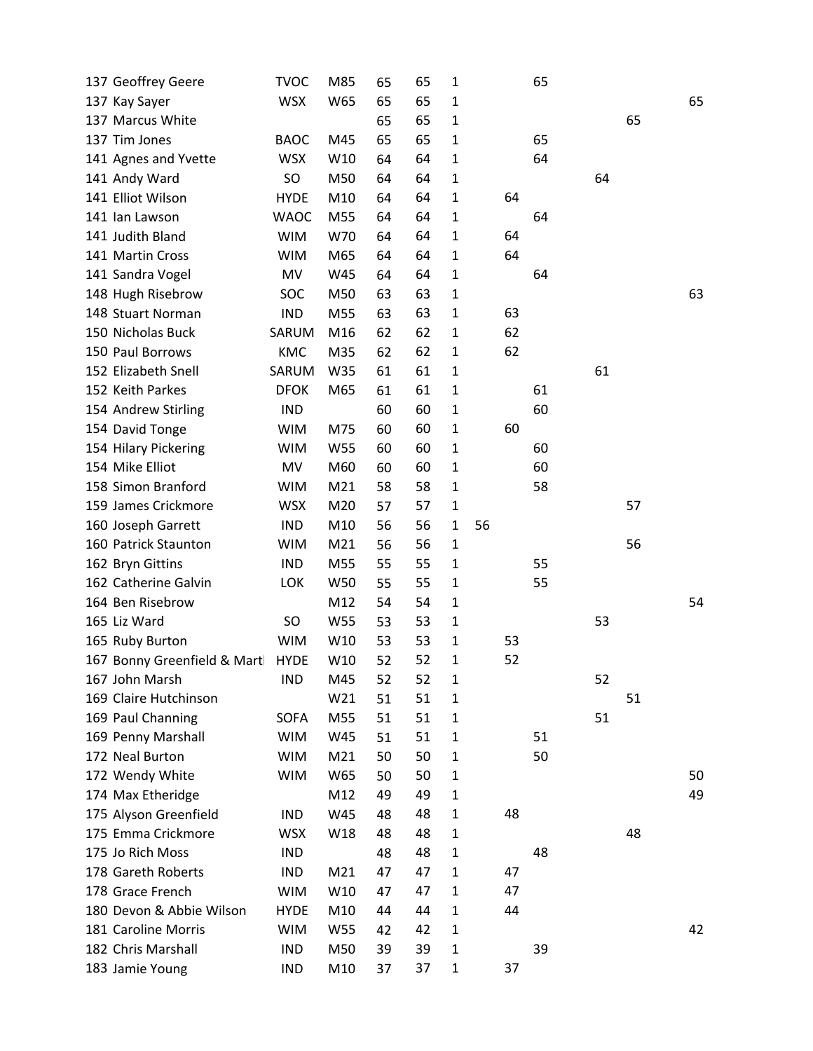| 137 Geoffrey Geere          | <b>TVOC</b> | M85 | 65 | 65 | 1            |    |    | 65 |    |    |    |
|-----------------------------|-------------|-----|----|----|--------------|----|----|----|----|----|----|
| 137 Kay Sayer               | <b>WSX</b>  | W65 | 65 | 65 | 1            |    |    |    |    |    | 65 |
| 137 Marcus White            |             |     | 65 | 65 | $\mathbf{1}$ |    |    |    |    | 65 |    |
| 137 Tim Jones               | <b>BAOC</b> | M45 | 65 | 65 | 1            |    |    | 65 |    |    |    |
| 141 Agnes and Yvette        | <b>WSX</b>  | W10 | 64 | 64 | $\mathbf{1}$ |    |    | 64 |    |    |    |
| 141 Andy Ward               | <b>SO</b>   | M50 | 64 | 64 | $\mathbf{1}$ |    |    |    | 64 |    |    |
| 141 Elliot Wilson           | <b>HYDE</b> | M10 | 64 | 64 | $\mathbf{1}$ |    | 64 |    |    |    |    |
| 141 Ian Lawson              | <b>WAOC</b> | M55 | 64 | 64 | 1            |    |    | 64 |    |    |    |
| 141 Judith Bland            | <b>WIM</b>  | W70 | 64 | 64 | $\mathbf{1}$ |    | 64 |    |    |    |    |
| 141 Martin Cross            | <b>WIM</b>  | M65 | 64 | 64 | $\mathbf{1}$ |    | 64 |    |    |    |    |
| 141 Sandra Vogel            | MV          | W45 | 64 | 64 | $\mathbf{1}$ |    |    | 64 |    |    |    |
| 148 Hugh Risebrow           | SOC         | M50 | 63 | 63 | 1            |    |    |    |    |    | 63 |
| 148 Stuart Norman           | <b>IND</b>  | M55 | 63 | 63 | $\mathbf{1}$ |    | 63 |    |    |    |    |
| 150 Nicholas Buck           | SARUM       | M16 | 62 | 62 | $\mathbf{1}$ |    | 62 |    |    |    |    |
| 150 Paul Borrows            | KMC         | M35 | 62 | 62 | $\mathbf{1}$ |    | 62 |    |    |    |    |
| 152 Elizabeth Snell         | SARUM       | W35 | 61 | 61 | $\mathbf{1}$ |    |    |    | 61 |    |    |
| 152 Keith Parkes            | <b>DFOK</b> | M65 | 61 | 61 | $\mathbf{1}$ |    |    | 61 |    |    |    |
| 154 Andrew Stirling         | <b>IND</b>  |     | 60 | 60 | 1            |    |    | 60 |    |    |    |
| 154 David Tonge             | <b>WIM</b>  | M75 | 60 | 60 | $\mathbf{1}$ |    | 60 |    |    |    |    |
| 154 Hilary Pickering        | <b>WIM</b>  | W55 | 60 | 60 | 1            |    |    | 60 |    |    |    |
| 154 Mike Elliot             | MV          | M60 | 60 | 60 | 1            |    |    | 60 |    |    |    |
| 158 Simon Branford          | <b>WIM</b>  | M21 | 58 | 58 | $\mathbf 1$  |    |    | 58 |    |    |    |
| 159 James Crickmore         | <b>WSX</b>  | M20 | 57 | 57 | 1            |    |    |    |    | 57 |    |
| 160 Joseph Garrett          | <b>IND</b>  | M10 | 56 | 56 | $\mathbf 1$  | 56 |    |    |    |    |    |
| 160 Patrick Staunton        | <b>WIM</b>  | M21 | 56 | 56 | $\mathbf{1}$ |    |    |    |    | 56 |    |
| 162 Bryn Gittins            | <b>IND</b>  | M55 | 55 | 55 | 1            |    |    | 55 |    |    |    |
| 162 Catherine Galvin        | <b>LOK</b>  | W50 | 55 | 55 | $\mathbf{1}$ |    |    | 55 |    |    |    |
| 164 Ben Risebrow            |             | M12 | 54 | 54 | $\mathbf{1}$ |    |    |    |    |    | 54 |
| 165 Liz Ward                | <b>SO</b>   | W55 | 53 | 53 | $\mathbf{1}$ |    |    |    | 53 |    |    |
| 165 Ruby Burton             | <b>WIM</b>  | W10 | 53 | 53 | 1            |    | 53 |    |    |    |    |
| 167 Bonny Greenfield & Mart | <b>HYDE</b> | W10 | 52 | 52 | 1            |    | 52 |    |    |    |    |
| 167 John Marsh              | <b>IND</b>  | M45 | 52 | 52 | 1            |    |    |    | 52 |    |    |
| 169 Claire Hutchinson       |             | W21 | 51 | 51 | 1            |    |    |    |    | 51 |    |
| 169 Paul Channing           | <b>SOFA</b> | M55 | 51 | 51 | 1            |    |    |    | 51 |    |    |
| 169 Penny Marshall          | <b>WIM</b>  | W45 | 51 | 51 | 1            |    |    | 51 |    |    |    |
| 172 Neal Burton             | <b>WIM</b>  | M21 | 50 | 50 | $\mathbf{1}$ |    |    | 50 |    |    |    |
| 172 Wendy White             | <b>WIM</b>  | W65 | 50 | 50 | 1            |    |    |    |    |    | 50 |
| 174 Max Etheridge           |             | M12 | 49 | 49 | 1            |    |    |    |    |    | 49 |
| 175 Alyson Greenfield       | <b>IND</b>  | W45 | 48 | 48 | 1            |    | 48 |    |    |    |    |
| 175 Emma Crickmore          | <b>WSX</b>  | W18 | 48 | 48 | 1            |    |    |    |    | 48 |    |
| 175 Jo Rich Moss            | <b>IND</b>  |     | 48 | 48 | $\mathbf{1}$ |    |    | 48 |    |    |    |
| 178 Gareth Roberts          | <b>IND</b>  | M21 | 47 | 47 | 1            |    | 47 |    |    |    |    |
| 178 Grace French            | <b>WIM</b>  | W10 | 47 | 47 | 1            |    | 47 |    |    |    |    |
| 180 Devon & Abbie Wilson    | <b>HYDE</b> | M10 | 44 | 44 | $\mathbf{1}$ |    | 44 |    |    |    |    |
| 181 Caroline Morris         | <b>WIM</b>  | W55 | 42 | 42 | 1            |    |    |    |    |    | 42 |
| 182 Chris Marshall          | <b>IND</b>  | M50 | 39 | 39 | $\mathbf{1}$ |    |    | 39 |    |    |    |
| 183 Jamie Young             | <b>IND</b>  | M10 | 37 | 37 | $\mathbf{1}$ |    | 37 |    |    |    |    |